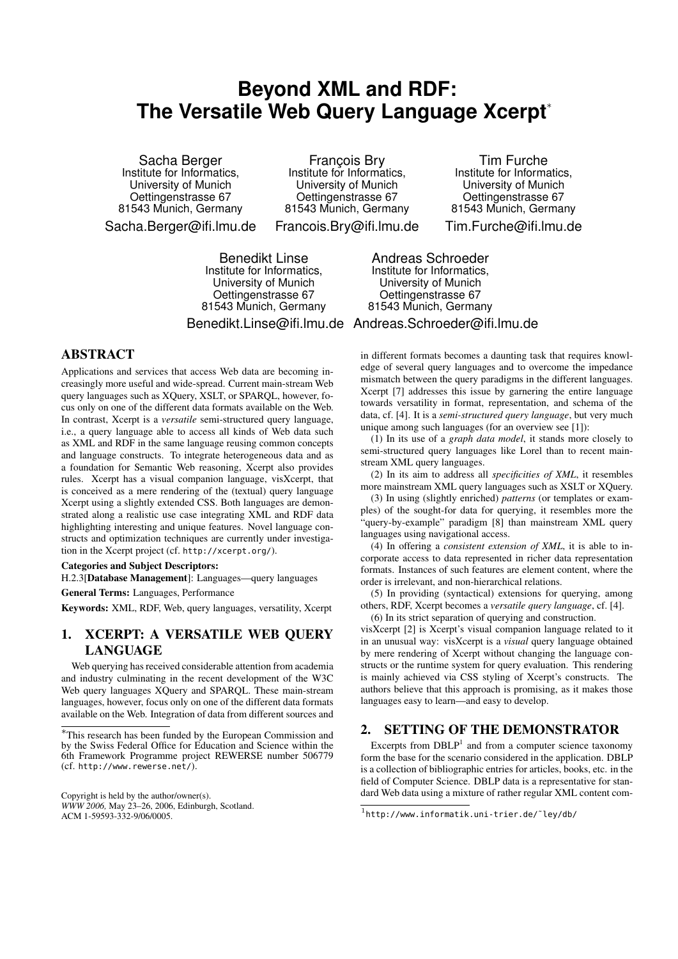# **Beyond XML and RDF: The Versatile Web Query Language Xcerpt**<sup>∗</sup>

François Bry Institute for Informatics,

Sacha Berger Institute for Informatics, University of Munich Oettingenstrasse 67 81543 Munich, Germany Sacha.Berger@ifi.lmu.de

University of Munich Oettingenstrasse 67 81543 Munich, Germany Francois.Bry@ifi.lmu.de

Tim Furche Institute for Informatics, University of Munich Oettingenstrasse 67 81543 Munich, Germany Tim.Furche@ifi.lmu.de

Benedikt Linse Institute for Informatics, University of Munich Oettingenstrasse 67 81543 Munich, Germany

Andreas Schroeder Institute for Informatics, University of Munich Oettingenstrasse 67 81543 Munich, Germany

Benedikt.Linse@ifi.lmu.de Andreas.Schroeder@ifi.lmu.de

## ABSTRACT

Applications and services that access Web data are becoming increasingly more useful and wide-spread. Current main-stream Web query languages such as XQuery, XSLT, or SPARQL, however, focus only on one of the different data formats available on the Web. In contrast, Xcerpt is a *versatile* semi-structured query language, i.e., a query language able to access all kinds of Web data such as XML and RDF in the same language reusing common concepts and language constructs. To integrate heterogeneous data and as a foundation for Semantic Web reasoning, Xcerpt also provides rules. Xcerpt has a visual companion language, visXcerpt, that is conceived as a mere rendering of the (textual) query language Xcerpt using a slightly extended CSS. Both languages are demonstrated along a realistic use case integrating XML and RDF data highlighting interesting and unique features. Novel language constructs and optimization techniques are currently under investigation in the Xcerpt project (cf. http://xcerpt.org/).

#### Categories and Subject Descriptors:

H.2.3[Database Management]: Languages—query languages

General Terms: Languages, Performance

Keywords: XML, RDF, Web, query languages, versatility, Xcerpt

## 1. XCERPT: A VERSATILE WEB QUERY LANGUAGE

Web querying has received considerable attention from academia and industry culminating in the recent development of the W3C Web query languages XQuery and SPARQL. These main-stream languages, however, focus only on one of the different data formats available on the Web. Integration of data from different sources and in different formats becomes a daunting task that requires knowledge of several query languages and to overcome the impedance mismatch between the query paradigms in the different languages. Xcerpt [7] addresses this issue by garnering the entire language towards versatility in format, representation, and schema of the data, cf. [4]. It is a *semi-structured query language*, but very much unique among such languages (for an overview see [1]):

(1) In its use of a *graph data model*, it stands more closely to semi-structured query languages like Lorel than to recent mainstream XML query languages.

(2) In its aim to address all *specificities of XML*, it resembles more mainstream XML query languages such as XSLT or XQuery.

(3) In using (slightly enriched) *patterns* (or templates or examples) of the sought-for data for querying, it resembles more the "query-by-example" paradigm [8] than mainstream XML query languages using navigational access.

(4) In offering a *consistent extension of XML*, it is able to incorporate access to data represented in richer data representation formats. Instances of such features are element content, where the order is irrelevant, and non-hierarchical relations.

(5) In providing (syntactical) extensions for querying, among others, RDF, Xcerpt becomes a *versatile query language*, cf. [4].

(6) In its strict separation of querying and construction. visXcerpt [2] is Xcerpt's visual companion language related to it in an unusual way: visXcerpt is a *visual* query language obtained by mere rendering of Xcerpt without changing the language constructs or the runtime system for query evaluation. This rendering is mainly achieved via CSS styling of Xcerpt's constructs. The authors believe that this approach is promising, as it makes those languages easy to learn—and easy to develop.

## 2. SETTING OF THE DEMONSTRATOR

Excerpts from  $DBLP<sup>1</sup>$  and from a computer science taxonomy form the base for the scenario considered in the application. DBLP is a collection of bibliographic entries for articles, books, etc. in the field of Computer Science. DBLP data is a representative for standard Web data using a mixture of rather regular XML content com-

<sup>∗</sup>This research has been funded by the European Commission and by the Swiss Federal Office for Education and Science within the 6th Framework Programme project REWERSE number 506779 (cf. http://www.rewerse.net/).

Copyright is held by the author/owner(s). *WWW 2006,* May 23–26, 2006, Edinburgh, Scotland. ACM 1-59593-332-9/06/0005.

<sup>1</sup> http://www.informatik.uni-trier.de/˜ley/db/